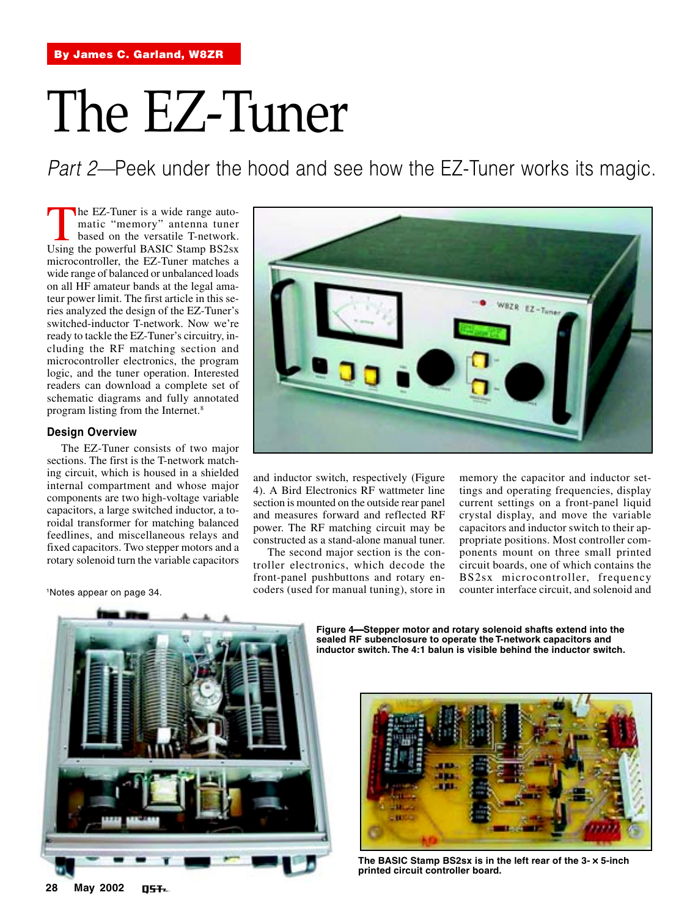# The EZ-Tuner

Part 2—Peek under the hood and see how the EZ-Tuner works its magic.

The EZ-Tuner is a wide range auto-<br>matic "memory" antenna tuner<br>based on the versatile T-network.<br>Using the nowerful BASIC Stamp BS2sx matic "memory" antenna tuner based on the versatile T-network. Using the powerful BASIC Stamp BS2sx microcontroller, the EZ-Tuner matches a wide range of balanced or unbalanced loads on all HF amateur bands at the legal amateur power limit. The first article in this series analyzed the design of the EZ-Tuner's switched-inductor T-network. Now we're ready to tackle the EZ-Tuner's circuitry, including the RF matching section and microcontroller electronics, the program logic, and the tuner operation. Interested readers can download a complete set of schematic diagrams and fully annotated program listing from the Internet.8

# **Design Overview**

The EZ-Tuner consists of two major sections. The first is the T-network matching circuit, which is housed in a shielded internal compartment and whose major components are two high-voltage variable capacitors, a large switched inductor, a toroidal transformer for matching balanced feedlines, and miscellaneous relays and fixed capacitors. Two stepper motors and a rotary solenoid turn the variable capacitors

1Notes appear on page 34.



and inductor switch, respectively (Figure 4). A Bird Electronics RF wattmeter line section is mounted on the outside rear panel and measures forward and reflected RF power. The RF matching circuit may be constructed as a stand-alone manual tuner.

The second major section is the controller electronics, which decode the front-panel pushbuttons and rotary encoders (used for manual tuning), store in memory the capacitor and inductor settings and operating frequencies, display current settings on a front-panel liquid crystal display, and move the variable capacitors and inductor switch to their appropriate positions. Most controller components mount on three small printed circuit boards, one of which contains the BS2sx microcontroller, frequency counter interface circuit, and solenoid and



**Figure 4Stepper motor and rotary solenoid shafts extend into the sealed RF subenclosure to operate the T-network capacitors and inductor switch. The 4:1 balun is visible behind the inductor switch.**



**The BASIC Stamp BS2sx is in the left rear of the 3-** × **5-inch printed circuit controller board.**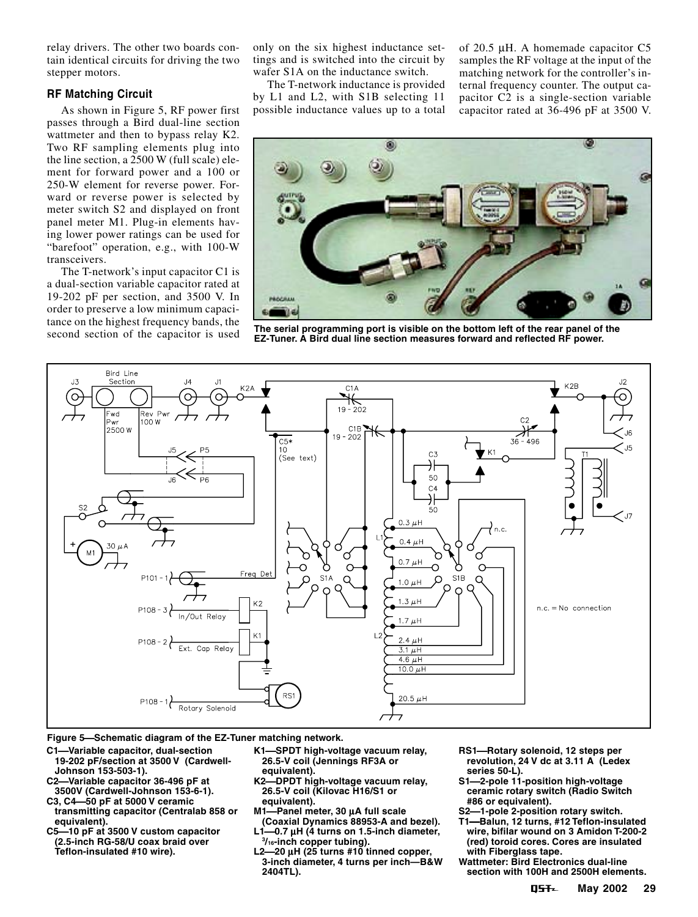relay drivers. The other two boards contain identical circuits for driving the two stepper motors.

### **RF Matching Circuit**

As shown in Figure 5, RF power first passes through a Bird dual-line section wattmeter and then to bypass relay K2. Two RF sampling elements plug into the line section, a 2500 W (full scale) element for forward power and a 100 or 250-W element for reverse power. Forward or reverse power is selected by meter switch S2 and displayed on front panel meter M1. Plug-in elements having lower power ratings can be used for "barefoot" operation, e.g., with 100-W transceivers.

The T-network's input capacitor C1 is a dual-section variable capacitor rated at 19-202 pF per section, and 3500 V. In order to preserve a low minimum capacitance on the highest frequency bands, the<br>second section of the capacitor is used

only on the six highest inductance settings and is switched into the circuit by wafer S1A on the inductance switch.

The T-network inductance is provided by L1 and L2, with S1B selecting 11 possible inductance values up to a total of 20.5 µH. A homemade capacitor C5 samples the RF voltage at the input of the matching network for the controller's internal frequency counter. The output capacitor C2 is a single-section variable capacitor rated at 36-496 pF at 3500 V.



The serial programming port is visible on the bottom left of the rear panel of the **EZ-Tuner. A Bird dual line section measures forward and reflected RF power.**



**Figure 5Schematic diagram of the EZ-Tuner matching network.**

- **C1Variable capacitor, dual-section 19-202 pF/section at 3500 V (Cardwell-**
- **Johnson 153-503-1). C2Variable capacitor 36-496 pF at 3500V (Cardwell-Johnson 153-6-1).**
- **C3, C450 pF at 5000 V ceramic transmitting capacitor (Centralab 858 or**
- **equivalent). C510 pF at 3500 V custom capacitor (2.5-inch RG-58/U coax braid over Teflon-insulated #10 wire).**
- **K1SPDT high-voltage vacuum relay, 26.5-V coil (Jennings RF3A or equivalent).**
- **K2DPDT high-voltage vacuum relay, 26.5-V coil (Kilovac H16/S1 or equivalent).**
- **M1Panel meter, 30** µ**A full scale (Coaxial Dynamics 88953-A and bezel).**
- **L10.7** µ**H (4 turns on 1.5-inch diameter, 3 /16-inch copper tubing).**
- **L220** µ**H (25 turns #10 tinned copper, 3-inch diameter, 4 turns per inch—B&W 2404TL).**
- **RS1Rotary solenoid, 12 steps per revolution, 24 V dc at 3.11 A (Ledex series 50-L).**
- **S12-pole 11-position high-voltage ceramic rotary switch (Radio Switch #86 or equivalent).**
- **S21-pole 2-position rotary switch.**
- **T1Balun, 12 turns, #12 Teflon-insulated wire, bifilar wound on 3 Amidon T-200-2 (red) toroid cores. Cores are insulated with Fiberglass tape.**
- **Wattmeter: Bird Electronics dual-line section with 100H and 2500H elements.**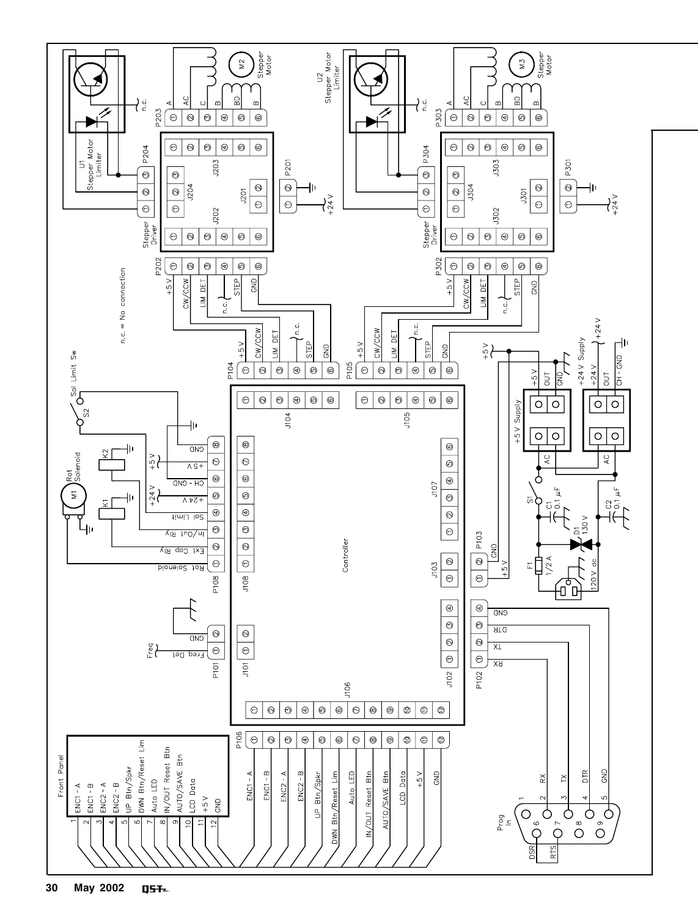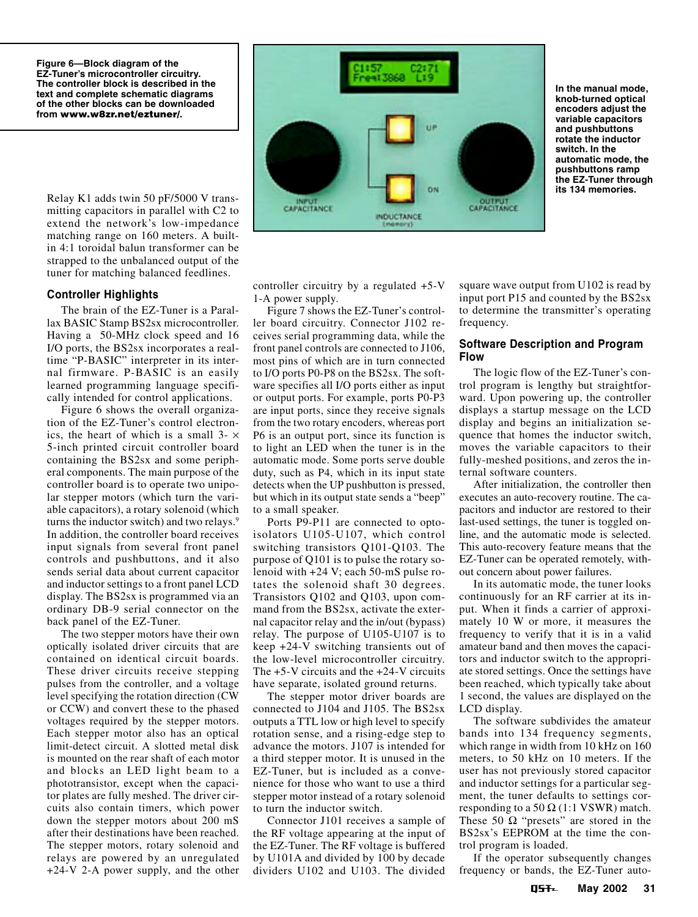**Figure 6—Block diagram of the EZ-Tuner's microcontroller circuitry. The controller block is described in the text and complete schematic diagrams of the other blocks can be downloaded from www.w8zr.net/eztuner/.**

Relay K1 adds twin 50 pF/5000 V transmitting capacitors in parallel with C2 to extend the network's low-impedance matching range on 160 meters. A builtin 4:1 toroidal balun transformer can be strapped to the unbalanced output of the tuner for matching balanced feedlines.

#### **Controller Highlights**

The brain of the EZ-Tuner is a Parallax BASIC Stamp BS2sx microcontroller. Having a 50-MHz clock speed and 16 I/O ports, the BS2sx incorporates a realtime "P-BASIC" interpreter in its internal firmware. P-BASIC is an easily learned programming language specifically intended for control applications.

Figure 6 shows the overall organization of the EZ-Tuner's control electronics, the heart of which is a small  $3-x$ 5-inch printed circuit controller board containing the BS2sx and some peripheral components. The main purpose of the controller board is to operate two unipolar stepper motors (which turn the variable capacitors), a rotary solenoid (which turns the inductor switch) and two relays.<sup>9</sup> In addition, the controller board receives input signals from several front panel controls and pushbuttons, and it also sends serial data about current capacitor and inductor settings to a front panel LCD display. The BS2sx is programmed via an ordinary DB-9 serial connector on the back panel of the EZ-Tuner.

The two stepper motors have their own optically isolated driver circuits that are contained on identical circuit boards. These driver circuits receive stepping pulses from the controller, and a voltage level specifying the rotation direction (CW or CCW) and convert these to the phased voltages required by the stepper motors. Each stepper motor also has an optical limit-detect circuit. A slotted metal disk is mounted on the rear shaft of each motor and blocks an LED light beam to a phototransistor, except when the capacitor plates are fully meshed. The driver circuits also contain timers, which power down the stepper motors about 200 mS after their destinations have been reached. The stepper motors, rotary solenoid and relays are powered by an unregulated +24-V 2-A power supply, and the other



**In the manual mode, knob-turned optical encoders adjust the variable capacitors and pushbuttons rotate the inductor switch. In the automatic mode, the pushbuttons ramp the EZ-Tuner through its 134 memories.**

controller circuitry by a regulated +5-V 1-A power supply.

Figure 7 shows the EZ-Tuner's controller board circuitry. Connector J102 receives serial programming data, while the front panel controls are connected to J106, most pins of which are in turn connected to I/O ports P0-P8 on the BS2sx. The software specifies all I/O ports either as input or output ports. For example, ports P0-P3 are input ports, since they receive signals from the two rotary encoders, whereas port P6 is an output port, since its function is to light an LED when the tuner is in the automatic mode. Some ports serve double duty, such as P4, which in its input state detects when the UP pushbutton is pressed, but which in its output state sends a "beep" to a small speaker.

Ports P9-P11 are connected to optoisolators U105-U107, which control switching transistors Q101-Q103. The purpose of Q101 is to pulse the rotary solenoid with +24 V; each 50-mS pulse rotates the solenoid shaft 30 degrees. Transistors Q102 and Q103, upon command from the BS2sx, activate the external capacitor relay and the in/out (bypass) relay. The purpose of U105-U107 is to keep +24-V switching transients out of the low-level microcontroller circuitry. The +5-V circuits and the +24-V circuits have separate, isolated ground returns.

The stepper motor driver boards are connected to J104 and J105. The BS2sx outputs a TTL low or high level to specify rotation sense, and a rising-edge step to advance the motors. J107 is intended for a third stepper motor. It is unused in the EZ-Tuner, but is included as a convenience for those who want to use a third stepper motor instead of a rotary solenoid to turn the inductor switch.

Connector J101 receives a sample of the RF voltage appearing at the input of the EZ-Tuner. The RF voltage is buffered by U101A and divided by 100 by decade dividers U102 and U103. The divided

square wave output from U102 is read by input port P15 and counted by the BS2sx to determine the transmitter's operating frequency.

### **Software Description and Program Flow**

The logic flow of the EZ-Tuner's control program is lengthy but straightforward. Upon powering up, the controller displays a startup message on the LCD display and begins an initialization sequence that homes the inductor switch, moves the variable capacitors to their fully-meshed positions, and zeros the internal software counters.

After initialization, the controller then executes an auto-recovery routine. The capacitors and inductor are restored to their last-used settings, the tuner is toggled online, and the automatic mode is selected. This auto-recovery feature means that the EZ-Tuner can be operated remotely, without concern about power failures.

In its automatic mode, the tuner looks continuously for an RF carrier at its input. When it finds a carrier of approximately 10 W or more, it measures the frequency to verify that it is in a valid amateur band and then moves the capacitors and inductor switch to the appropriate stored settings. Once the settings have been reached, which typically take about 1 second, the values are displayed on the LCD display.

The software subdivides the amateur bands into 134 frequency segments, which range in width from 10 kHz on 160 meters, to 50 kHz on 10 meters. If the user has not previously stored capacitor and inductor settings for a particular segment, the tuner defaults to settings corresponding to a 50  $\Omega$  (1:1 VSWR) match. These 50  $\Omega$  "presets" are stored in the BS2sx's EEPROM at the time the control program is loaded.

If the operator subsequently changes frequency or bands, the EZ-Tuner auto-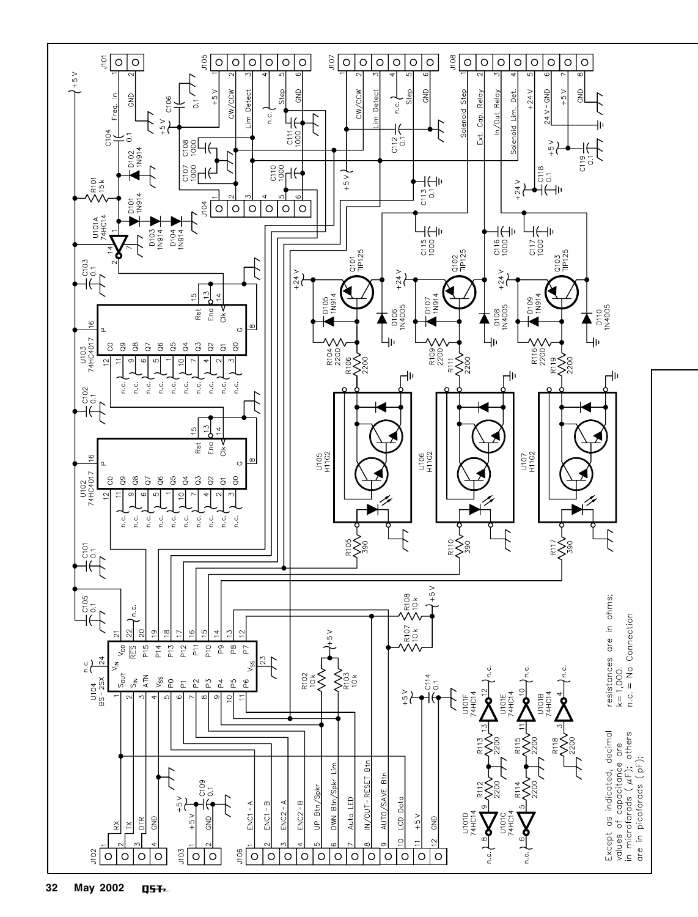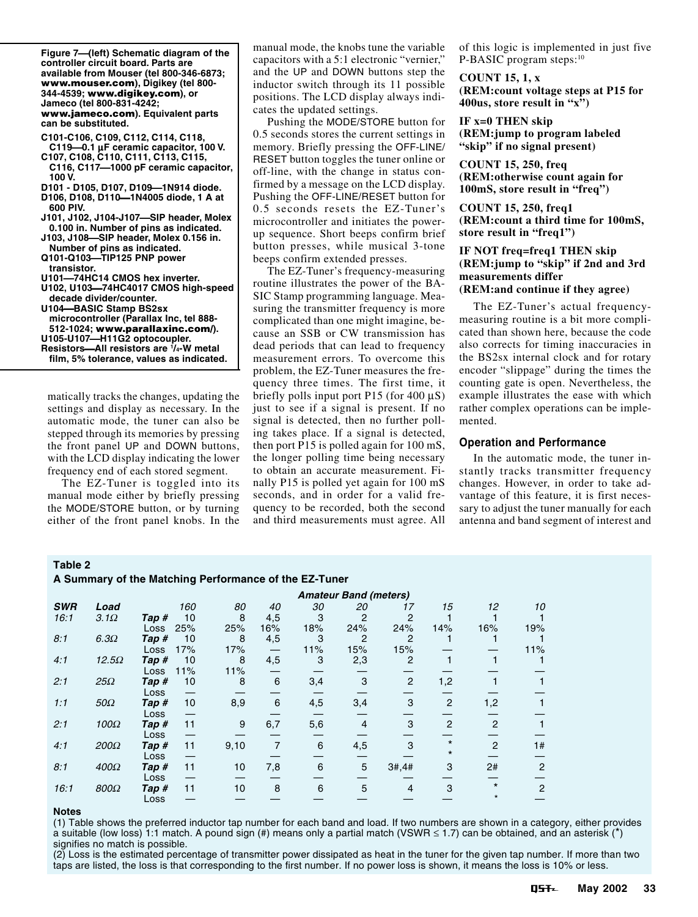| Figure 7—(left) Schematic diagram of the<br>controller circuit board. Parts are |
|---------------------------------------------------------------------------------|
| available from Mouser (tel 800-346-6873;                                        |
| www.mouser.com), Digikey (tel 800-                                              |
| 344-4539; www.digikey.com), or                                                  |
| Jameco (tel 800-831-4242;                                                       |
| www.jameco.com). Equivalent parts                                               |
| can be substituted.                                                             |
| C101-C106, C109, C112, C114, C118,                                              |
| C119-0.1 µF ceramic capacitor, 100 V.                                           |
| C107, C108, C110, C111, C113, C115,                                             |
| C116, C117-1000 pF ceramic capacitor,                                           |
| 100 V.                                                                          |
| D101 - D105, D107, D109-1N914 diode.                                            |
| D106, D108, D110--1N4005 diode, 1 A at                                          |
| 600 PIV.                                                                        |
| J101, J102, J104-J107-SIP header, Molex                                         |
| 0.100 in. Number of pins as indicated.                                          |
| J103, J108-SIP header, Molex 0.156 in.                                          |
| Number of pins as indicated.                                                    |
| Q101-Q103-TIP125 PNP power                                                      |
| transistor.                                                                     |
| U101-74HC14 CMOS hex inverter.                                                  |
| U102, U103-74HC4017 CMOS high-speed                                             |
| decade divider/counter.                                                         |
| U104-BASIC Stamp BS2sx                                                          |
| microcontroller (Parallax Inc, tel 888-                                         |
| 512-1024; www.parallaxinc.com/).                                                |
| U105-U107-H11G2 optocoupler.<br>Resistors-All resistors are 1/4-W metal         |
|                                                                                 |
| film, 5% tolerance, values as indicated.                                        |
|                                                                                 |
|                                                                                 |

matically tracks the changes, updating the settings and display as necessary. In the automatic mode, the tuner can also be stepped through its memories by pressing the front panel UP and DOWN buttons, with the LCD display indicating the lower frequency end of each stored segment.

The EZ-Tuner is toggled into its manual mode either by briefly pressing the MODE/STORE button, or by turning either of the front panel knobs. In the manual mode, the knobs tune the variable capacitors with a 5:1 electronic "vernier," and the UP and DOWN buttons step the inductor switch through its 11 possible positions. The LCD display always indicates the updated settings.

Pushing the MODE/STORE button for 0.5 seconds stores the current settings in memory. Briefly pressing the OFF-LINE/ RESET button toggles the tuner online or off-line, with the change in status confirmed by a message on the LCD display. Pushing the OFF-LINE/RESET button for 0.5 seconds resets the EZ-Tuner's microcontroller and initiates the powerup sequence. Short beeps confirm brief button presses, while musical 3-tone beeps confirm extended presses.

The EZ-Tuner's frequency-measuring routine illustrates the power of the BA-SIC Stamp programming language. Measuring the transmitter frequency is more complicated than one might imagine, because an SSB or CW transmission has dead periods that can lead to frequency measurement errors. To overcome this problem, the EZ-Tuner measures the frequency three times. The first time, it briefly polls input port P15 (for 400 µS) just to see if a signal is present. If no signal is detected, then no further polling takes place. If a signal is detected, then port P15 is polled again for 100 mS, the longer polling time being necessary to obtain an accurate measurement. Finally P15 is polled yet again for 100 mS seconds, and in order for a valid frequency to be recorded, both the second and third measurements must agree. All

of this logic is implemented in just five P-BASIC program steps:<sup>10</sup>

### **COUNT 15, 1, x (REM:count voltage steps at P15 for 400us, store result in "x")**

**IF x=0 THEN skip (REM:jump to program labeled "skip" if no signal present)**

**COUNT 15, 250, freq (REM:otherwise count again for 100mS, store result in "freq")**

**COUNT 15, 250, freq1 (REM:count a third time for 100mS, store result in "freq1")**

# **IF NOT freq=freq1 THEN skip (REM:jump to "skip" if 2nd and 3rd measurements differ**

# **(REM:and continue if they agree)**

The EZ-Tuner's actual frequencymeasuring routine is a bit more complicated than shown here, because the code also corrects for timing inaccuracies in the BS2sx internal clock and for rotary encoder "slippage" during the times the counting gate is open. Nevertheless, the example illustrates the ease with which rather complex operations can be implemented.

# **Operation and Performance**

In the automatic mode, the tuner instantly tracks transmitter frequency changes. However, in order to take advantage of this feature, it is first necessary to adjust the tuner manually for each antenna and band segment of interest and

#### **Table 2**

**A Summary of the Matching Performance of the EZ-Tuner**

|            |              |       | <b>Amateur Band (meters)</b> |      |                |     |                |                |                |                |                |
|------------|--------------|-------|------------------------------|------|----------------|-----|----------------|----------------|----------------|----------------|----------------|
| <b>SWR</b> | Load         |       | 160                          | 80   | 40             | 30  | 20             | 17             | 15             | 12             | 10             |
| 16:1       | $3.1\Omega$  | Tap # | 10                           | 8    | 4,5            | 3   | $\overline{2}$ | 2              |                |                |                |
|            |              | Loss  | 25%                          | 25%  | 16%            | 18% | 24%            | 24%            | 14%            | 16%            | 19%            |
| 8:1        | $6.3\Omega$  | Tap # | 10                           | 8    | 4,5            | 3   | 2              | 2              |                |                |                |
|            |              | Loss  | 17%                          | 17%  |                | 11% | 15%            | 15%            |                |                | 11%            |
| 4:1        | $12.5\Omega$ | Tap # | 10                           | 8    | 4,5            | 3   | 2,3            | 2              |                |                |                |
|            |              | Loss  | 11%                          | 11%  |                |     |                |                |                |                |                |
| 2:1        | $25\Omega$   | Tap#  | 10                           | 8    | 6              | 3,4 | 3              | $\overline{2}$ | 1,2            |                |                |
|            |              | Loss  |                              |      |                |     |                |                |                |                |                |
| 1:1        | $50\Omega$   | Tap # | 10                           | 8,9  | 6              | 4,5 | 3,4            | 3              | $\overline{2}$ | 1,2            |                |
|            |              | Loss  |                              |      |                |     |                |                |                |                |                |
| 2:1        | $100\Omega$  | Tap # | 11                           | 9    | 6,7            | 5,6 | $\overline{4}$ | 3              | $\overline{2}$ | $\overline{2}$ | 1              |
|            |              | Loss  |                              |      |                |     |                |                |                |                |                |
| 4:1        | $200\Omega$  | Tap # | 11                           | 9,10 | $\overline{7}$ | 6   | 4,5            | 3              | $\star$        | $\mathfrak{p}$ | 1#             |
|            |              | Loss  |                              |      |                |     |                |                | $^\star$       |                |                |
| 8:1        | $400\Omega$  | Tap # | 11                           | 10   | 7,8            | 6   | 5              | 3#, 4#         | 3              | 2#             | $\overline{2}$ |
|            |              | Loss  |                              |      |                |     |                |                |                |                |                |
| 16:1       | $800\Omega$  | Tap # | 11                           | 10   | 8              | 6   | 5              | 4              | 3              | $\star$        | $\overline{2}$ |
|            |              | Loss  |                              |      |                |     |                |                |                |                |                |

#### **Notes**

(1) Table shows the preferred inductor tap number for each band and load. If two numbers are shown in a category, either provides a suitable (low loss) 1:1 match. A pound sign (#) means only a partial match (VSWR  $\leq$  1.7) can be obtained, and an asterisk (\*) signifies no match is possible.

(2) Loss is the estimated percentage of transmitter power dissipated as heat in the tuner for the given tap number. If more than two taps are listed, the loss is that corresponding to the first number. If no power loss is shown, it means the loss is 10% or less.